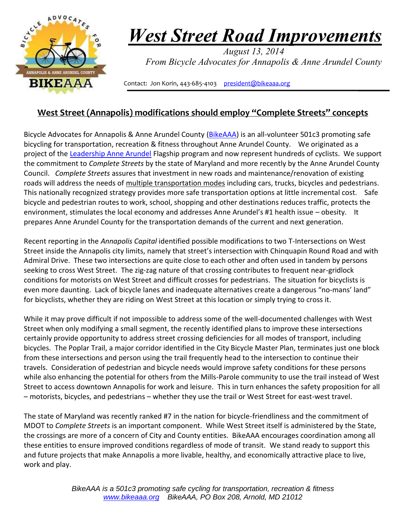

## *West Street Road Improvements*

 *August 13, 2014 From Bicycle Advocates for Annapolis & Anne Arundel County*

Contact: Jon Korin, 443-685-4103 [president@bikeaaa.org](mailto:president@bikeaaa.org)

## **West Street (Annapolis) modifications should employ "Complete Streets" concepts**

Bicycle Advocates for Annapolis & Anne Arundel County [\(BikeAAA\)](http://www.bikeaaa.org/) is an all-volunteer 501c3 promoting safe bicycling for transportation, recreation & fitness throughout Anne Arundel County. We originated as a project of the [Leadership Anne Arundel](http://www.leadershipaa.org/) Flagship program and now represent hundreds of cyclists. We support the commitment to *Complete Streets* by the state of Maryland and more recently by the Anne Arundel County Council. *Complete Streets* assures that investment in new roads and maintenance/renovation of existing roads will address the needs of multiple transportation modes including cars, trucks, bicycles and pedestrians. This nationally recognized strategy provides more safe transportation options at little incremental cost. Safe bicycle and pedestrian routes to work, school, shopping and other destinations reduces traffic, protects the environment, stimulates the local economy and addresses Anne Arundel's #1 health issue – obesity. It prepares Anne Arundel County for the transportation demands of the current and next generation.

Recent reporting in the *Annapolis Capital* identified possible modifications to two T-Intersections on West Street inside the Annapolis city limits, namely that street's intersection with Chinquapin Round Road and with Admiral Drive. These two intersections are quite close to each other and often used in tandem by persons seeking to cross West Street. The zig-zag nature of that crossing contributes to frequent near-gridlock conditions for motorists on West Street and difficult crosses for pedestrians. The situation for bicyclists is even more daunting. Lack of bicycle lanes and inadequate alternatives create a dangerous "no-mans' land" for bicyclists, whether they are riding on West Street at this location or simply trying to cross it.

While it may prove difficult if not impossible to address some of the well-documented challenges with West Street when only modifying a small segment, the recently identified plans to improve these intersections certainly provide opportunity to address street crossing deficiencies for all modes of transport, including bicycles. The Poplar Trail, a major corridor identified in the City Bicycle Master Plan, terminates just one block from these intersections and person using the trail frequently head to the intersection to continue their travels. Consideration of pedestrian and bicycle needs would improve safety conditions for these persons while also enhancing the potential for others from the Mills-Parole community to use the trail instead of West Street to access downtown Annapolis for work and leisure. This in turn enhances the safety proposition for all – motorists, bicycles, and pedestrians – whether they use the trail or West Street for east-west travel.

The state of Maryland was recently ranked #7 in the nation for bicycle-friendliness and the commitment of MDOT to *Complete Streets* is an important component. While West Street itself is administered by the State, the crossings are more of a concern of City and County entities. BikeAAA encourages coordination among all these entities to ensure improved conditions regardless of mode of transit. We stand ready to support this and future projects that make Annapolis a more livable, healthy, and economically attractive place to live, work and play.